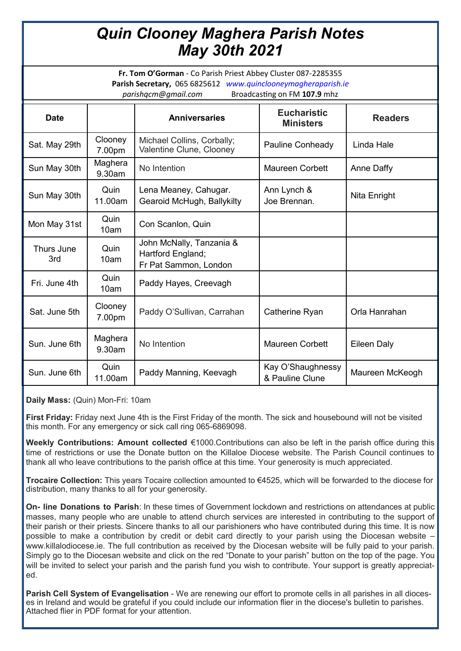## *Quin Clooney Maghera Parish Notes May 30th 2021*

**Fr. Tom O'Gorman** - Co Parish Priest Abbey Cluster 087-2285355 **Parish Secretary,** 065 6825612 *www.quinclooneymagheraparish.ie parishqcm@gmail.com* Broadcasting on FM **107.9** mhz

| <b>Date</b>       |                   | <b>Anniversaries</b>                                                   | <b>Eucharistic</b><br><b>Ministers</b> | <b>Readers</b>    |
|-------------------|-------------------|------------------------------------------------------------------------|----------------------------------------|-------------------|
| Sat. May 29th     | Clooney<br>7.00pm | Michael Collins, Corbally;<br>Valentine Clune, Clooney                 | Pauline Conheady                       | Linda Hale        |
| Sun May 30th      | Maghera<br>9.30am | No Intention                                                           | <b>Maureen Corbett</b>                 | <b>Anne Daffy</b> |
| Sun May 30th      | Quin<br>11.00am   | Lena Meaney, Cahugar.<br>Gearoid McHugh, Ballykilty                    | Ann Lynch &<br>Joe Brennan.            | Nita Enright      |
| Mon May 31st      | Quin<br>10am      | Con Scanlon, Quin                                                      |                                        |                   |
| Thurs June<br>3rd | Quin<br>10am      | John McNally, Tanzania &<br>Hartford England;<br>Fr Pat Sammon, London |                                        |                   |
| Fri. June 4th     | Quin<br>10am      | Paddy Hayes, Creevagh                                                  |                                        |                   |
| Sat. June 5th     | Clooney<br>7.00pm | Paddy O'Sullivan, Carrahan                                             | Catherine Ryan                         | Orla Hanrahan     |
| Sun. June 6th     | Maghera<br>9.30am | No Intention                                                           | <b>Maureen Corbett</b>                 | Eileen Daly       |
| Sun. June 6th     | Quin<br>11.00am   | Paddy Manning, Keevagh                                                 | Kay O'Shaughnessy<br>& Pauline Clune   | Maureen McKeogh   |

**Daily Mass:** (Quin) Mon-Fri: 10am

**First Friday:** Friday next June 4th is the First Friday of the month. The sick and housebound will not be visited this month. For any emergency or sick call ring 065-6869098.

**Weekly Contributions: Amount collected** €1000.Contributions can also be left in the parish office during this time of restrictions or use the Donate button on the Killaloe Diocese website. The Parish Council continues to thank all who leave contributions to the parish office at this time. Your generosity is much appreciated.

**Trocaire Collection:** This years Tocaire collection amounted to €4525, which will be forwarded to the diocese for distribution, many thanks to all for your generosity.

**On- line Donations to Parish**: In these times of Government lockdown and restrictions on attendances at public masses, many people who are unable to attend church services are interested in contributing to the support of their parish or their priests. Sincere thanks to all our parishioners who have contributed during this time. It is now possible to make a contribution by credit or debit card directly to your parish using the Diocesan website – www.killalodiocese.ie. The full contribution as received by the Diocesan website will be fully paid to your parish. Simply go to the Diocesan website and click on the red "Donate to your parish" button on the top of the page. You will be invited to select your parish and the parish fund you wish to contribute. Your support is greatly appreciated.

**Parish Cell System of Evangelisation** - We are renewing our effort to promote cells in all parishes in all dioceses in Ireland and would be grateful if you could include our information flier in the diocese's bulletin to parishes. Attached flier in PDF format for your attention.